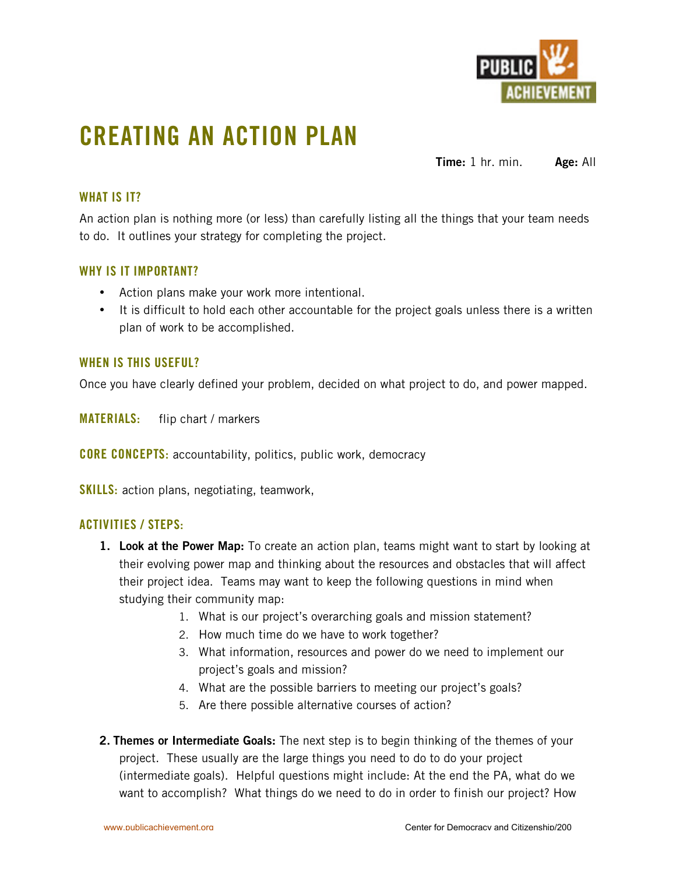

## **CREATING AN ACTION PLAN**

**Time:** 1 hr. min. **Age:** All

### **WHAT IS IT?**

An action plan is nothing more (or less) than carefully listing all the things that your team needs to do. It outlines your strategy for completing the project.

### **WHY IS IT IMPORTANT?**

Action plans make your work more intentional.

It is difficult to hold each other accountable for the project goals unless there is a written plan of work to be accomplished.

#### **WHEN IS THIS USEFUL?**

Once you have clearly defined your problem, decided on what project to do, and power mapped.

**MATERIALS:** flip chart / markers

**CORE CONCEPTS:** accountability, politics, public work, democracy

**SKILLS:** action plans, negotiating, teamwork,

#### **ACTIVITIES / STEPS:**

- **1. Look at the Power Map:** To create an action plan, teams might want to start by looking at their evolving power map and thinking about the resources and obstacles that will affect their project idea. Teams may want to keep the following questions in mind when studying their community map:
	- 1. What is our project's overarching goals and mission statement?
	- 2. How much time do we have to work together?
	- 3. What information, resources and power do we need to implement our project's goals and mission?
	- 4. What are the possible barriers to meeting our project's goals?
	- 5. Are there possible alternative courses of action?
- **2. Themes or Intermediate Goals:** The next step is to begin thinking of the themes of your project. These usually are the large things you need to do to do your project (intermediate goals). Helpful questions might include: At the end the PA, what do we want to accomplish? What things do we need to do in order to finish our project? How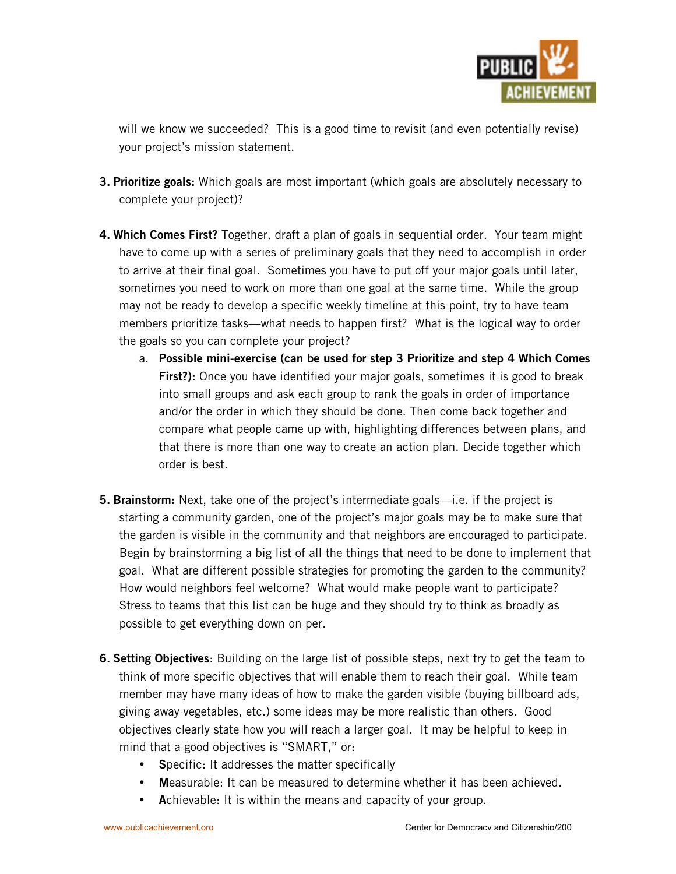

will we know we succeeded? This is a good time to revisit (and even potentially revise) your project's mission statement.

- **3. Prioritize goals:** Which goals are most important (which goals are absolutely necessary to complete your project)?
- **4. Which Comes First?** Together, draft a plan of goals in sequential order. Your team might have to come up with a series of preliminary goals that they need to accomplish in order to arrive at their final goal. Sometimes you have to put off your major goals until later, sometimes you need to work on more than one goal at the same time. While the group may not be ready to develop a specific weekly timeline at this point, try to have team members prioritize tasks—what needs to happen first? What is the logical way to order the goals so you can complete your project?
	- a. **Possible mini-exercise (can be used for step 3 Prioritize and step 4 Which Comes First?):** Once you have identified your major goals, sometimes it is good to break into small groups and ask each group to rank the goals in order of importance and/or the order in which they should be done. Then come back together and compare what people came up with, highlighting differences between plans, and that there is more than one way to create an action plan. Decide together which order is best.
- **5. Brainstorm:** Next, take one of the project's intermediate goals—i.e. if the project is starting a community garden, one of the project's major goals may be to make sure that the garden is visible in the community and that neighbors are encouraged to participate. Begin by brainstorming a big list of all the things that need to be done to implement that goal. What are different possible strategies for promoting the garden to the community? How would neighbors feel welcome? What would make people want to participate? Stress to teams that this list can be huge and they should try to think as broadly as possible to get everything down on per.
- **6. Setting Objectives**: Building on the large list of possible steps, next try to get the team to think of more specific objectives that will enable them to reach their goal. While team member may have many ideas of how to make the garden visible (buying billboard ads, giving away vegetables, etc.) some ideas may be more realistic than others. Good objectives clearly state how you will reach a larger goal. It may be helpful to keep in mind that a good objectives is "SMART," or:

**S**pecific: It addresses the matter specifically

**M**easurable: It can be measured to determine whether it has been achieved. **A**chievable: It is within the means and capacity of your group.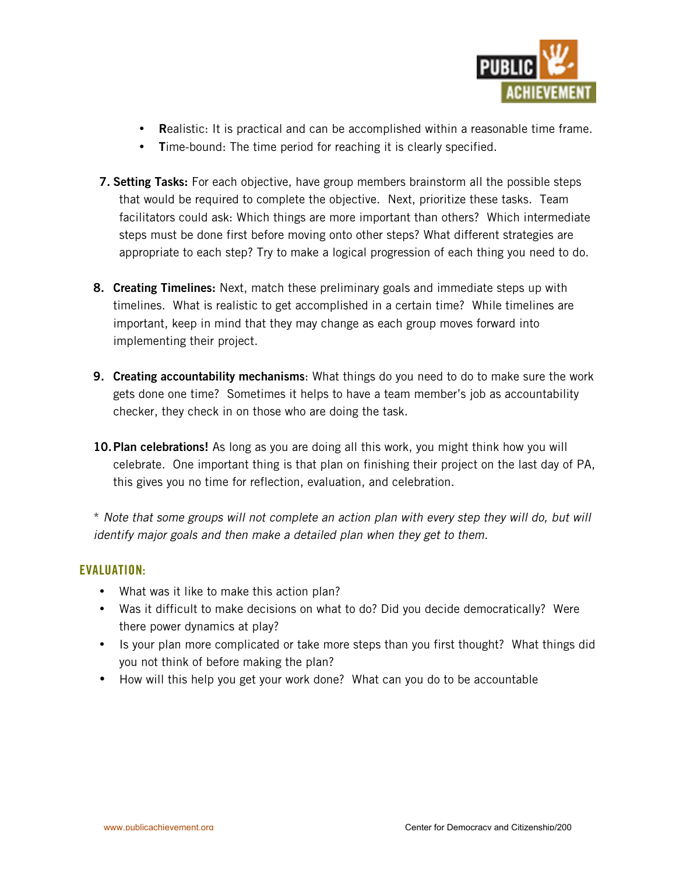

**R**ealistic: It is practical and can be accomplished within a reasonable time frame. **T**ime-bound: The time period for reaching it is clearly specified.

- **7. Setting Tasks:** For each objective, have group members brainstorm all the possible steps that would be required to complete the objective. Next, prioritize these tasks. Team facilitators could ask: Which things are more important than others? Which intermediate steps must be done first before moving onto other steps? What different strategies are appropriate to each step? Try to make a logical progression of each thing you need to do.
- **8. Creating Timelines:** Next, match these preliminary goals and immediate steps up with timelines. What is realistic to get accomplished in a certain time? While timelines are important, keep in mind that they may change as each group moves forward into implementing their project.
- **9. Creating accountability mechanisms**: What things do you need to do to make sure the work gets done one time? Sometimes it helps to have a team member's job as accountability checker, they check in on those who are doing the task.
- **10.Plan celebrations!** As long as you are doing all this work, you might think how you will celebrate. One important thing is that plan on finishing their project on the last day of PA, this gives you no time for reflection, evaluation, and celebration.

\* *Note that some groups will not complete an action plan with every step they will do, but will identify major goals and then make a detailed plan when they get to them.*

#### **EVALUATION:**

What was it like to make this action plan?

Was it difficult to make decisions on what to do? Did you decide democratically? Were there power dynamics at play?

Is your plan more complicated or take more steps than you first thought? What things did you not think of before making the plan?

How will this help you get your work done? What can you do to be accountable